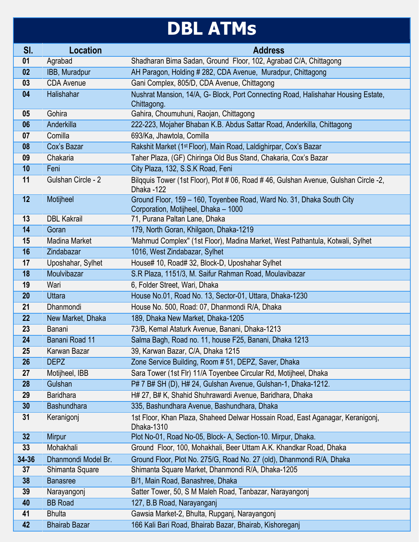## **DBL ATMs**

| SI.   | <b>Location</b>      | <b>Address</b>                                                                                                |
|-------|----------------------|---------------------------------------------------------------------------------------------------------------|
| 01    | Agrabad              | Shadharan Bima Sadan, Ground Floor, 102, Agrabad C/A, Chittagong                                              |
| 02    | IBB, Muradpur        | AH Paragon, Holding # 282, CDA Avenue, Muradpur, Chittagong                                                   |
| 03    | <b>CDA Avenue</b>    | Gani Complex, 805/D, CDA Avenue, Chittagong                                                                   |
| 04    | Halishahar           | Nushrat Mansion, 14/A, G- Block, Port Connecting Road, Halishahar Housing Estate,<br>Chittagong.              |
| 05    | Gohira               | Gahira, Choumuhuni, Raojan, Chittagong                                                                        |
| 06    | Anderkilla           | 222-223, Mojaher Bhaban K.B. Abdus Sattar Road, Anderkilla, Chittagong                                        |
| 07    | Comilla              | 693/Ka, Jhawtola, Comilla                                                                                     |
| 08    | Cox's Bazar          | Rakshit Market (1 <sup>st</sup> Floor), Main Road, Laldighirpar, Cox's Bazar                                  |
| 09    | Chakaria             | Taher Plaza, (GF) Chiringa Old Bus Stand, Chakaria, Cox's Bazar                                               |
| 10    | Feni                 | City Plaza, 132, S.S.K Road, Feni                                                                             |
| 11    | Gulshan Circle - 2   | Bilgguis Tower (1st Floor), Plot # 06, Road # 46, Gulshan Avenue, Gulshan Circle -2,<br>Dhaka -122            |
| 12    | Motijheel            | Ground Floor, 159 - 160, Toyenbee Road, Ward No. 31, Dhaka South City<br>Corporation, Motijheel, Dhaka - 1000 |
| 13    | <b>DBL Kakrail</b>   | 71, Purana Paltan Lane, Dhaka                                                                                 |
| 14    | Goran                | 179, North Goran, Khilgaon, Dhaka-1219                                                                        |
| 15    | Madina Market        | 'Mahmud Complex" (1st Floor), Madina Market, West Pathantula, Kotwali, Sylhet                                 |
| 16    | Zindabazar           | 1016, West Zindabazar, Sylhet                                                                                 |
| 17    | Uposhahar, Sylhet    | House# 10, Road# 32, Block-D, Uposhahar Sylhet                                                                |
| 18    | Moulvibazar          | S.R Plaza, 1151/3, M. Saifur Rahman Road, Moulavibazar                                                        |
| 19    | Wari                 | 6, Folder Street, Wari, Dhaka                                                                                 |
| 20    | <b>Uttara</b>        | House No.01, Road No. 13, Sector-01, Uttara, Dhaka-1230                                                       |
| 21    | Dhanmondi            | House No. 500, Road: 07, Dhanmondi R/A, Dhaka                                                                 |
| 22    | New Market, Dhaka    | 189, Dhaka New Market, Dhaka-1205                                                                             |
| 23    | Banani               | 73/B, Kemal Ataturk Avenue, Banani, Dhaka-1213                                                                |
| 24    | Banani Road 11       | Salma Bagh, Road no. 11, house F25, Banani, Dhaka 1213                                                        |
| 25    | Karwan Bazar         | 39, Karwan Bazar, C/A, Dhaka 1215                                                                             |
| 26    | <b>DEPZ</b>          | Zone Service Building, Room # 51, DEPZ, Saver, Dhaka                                                          |
| 27    | Motijheel, IBB       | Sara Tower (1st Flr) 11/A Toyenbee Circular Rd, Motijheel, Dhaka                                              |
| 28    | Gulshan              | P# 7 B# SH (D), H# 24, Gulshan Avenue, Gulshan-1, Dhaka-1212.                                                 |
| 29    | <b>Baridhara</b>     | H# 27, B# K, Shahid Shuhrawardi Avenue, Baridhara, Dhaka                                                      |
| 30    | <b>Bashundhara</b>   | 335, Bashundhara Avenue, Bashundhara, Dhaka                                                                   |
| 31    | Keranigonj           | 1st Floor, Khan Plaza, Shaheed Delwar Hossain Road, East Aganagar, Keranigoni,<br>Dhaka-1310                  |
| 32    | <b>Mirpur</b>        | Plot No-01, Road No-05, Block- A, Section-10. Mirpur, Dhaka.                                                  |
| 33    | Mohakhali            | Ground Floor, 100, Mohakhali, Beer Uttam A.K. Khandkar Road, Dhaka                                            |
| 34-36 | Dhanmondi Model Br.  | Ground Floor, Plot No. 275/G, Road No. 27 (old), Dhanmondi R/A, Dhaka                                         |
| 37    | Shimanta Square      | Shimanta Square Market, Dhanmondi R/A, Dhaka-1205                                                             |
| 38    | <b>Banasree</b>      | B/1, Main Road, Banashree, Dhaka                                                                              |
| 39    | Narayangonj          | Satter Tower, 50, S M Maleh Road, Tanbazar, Narayangonj                                                       |
| 40    | <b>BB</b> Road       | 127, B.B Road, Narayanganj                                                                                    |
| 41    | <b>Bhulta</b>        | Gawsia Market-2, Bhulta, Rupganj, Narayangonj                                                                 |
| 42    | <b>Bhairab Bazar</b> | 166 Kali Bari Road, Bhairab Bazar, Bhairab, Kishoreganj                                                       |